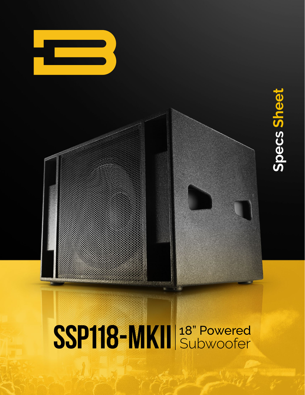

# Specs Sheet **Specs Sheet**

## SSP118-MKII <sup>18"</sup> Powered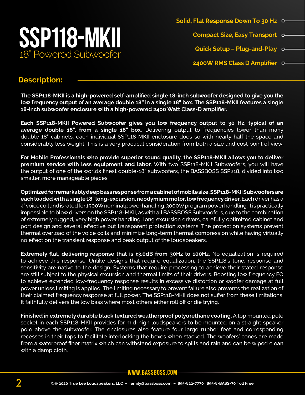

**Solid, Flat Response Down To 30 Hz Compact Size, Easy Transport Quick Setup – Plug-and-Play 2400W RMS Class D Amplifier**

#### **Description:**

**The SSP118-MKII is a high-powered self-amplified single 18-inch subwoofer designed to give you the low frequency output of an average double 18" in a single 18" box. The SSP118-MKII features a single 18-inch subwoofer enclosure with a high-powered 2400 Watt Class-D amplifier.**

**Each SSP118-MKII Powered Subwoofer gives you low frequency output to 30 Hz, typical of an average double 18", from a single 18" box.** Delivering output to frequencies lower than many double 18" cabinets, each individual SSP118-MKII enclosure does so with nearly half the space and considerably less weight. This is a very practical consideration from both a size and cost point of view.

**For Mobile Professionals who provide superior sound quality, the SSP118-MKII allows you to deliver premium service with less equipment and labor.** With two SSP118-MKII Subwoofers, you will have the output of one of the worlds finest double-18" subwoofers, the BASSBOSS SSP218, divided into two smaller, more manageable pieces.

**Optimized for remarkably deep bass response from a cabinet of mobile size, SSP118-MKII Subwoofers are each loaded with a single 18" long-excursion, neodymium motor, low frequency driver.** Each driver has a 4" voice coil and is rated for 1500W nominal power handling, 3000W program power handling. It is practically impossible to blow drivers on the SSP118-MKII, as with all BASSBOSS Subwoofers, due to the combination of extremely rugged, very high power handling, long excursion drivers, carefully optimized cabinet and port design and several effective but transparent protection systems. The protection systems prevent thermal overload of the voice coils and minimize long-term thermal compression while having virtually no effect on the transient response and peak output of the loudspeakers.

**Extremely flat, delivering response that is ±3.0dB from 30Hz to 100Hz.** No equalization is required to achieve this response. Unlike designs that require equalization, the SSP118's tone, response and sensitivity are native to the design. Systems that require processing to achieve their stated response are still subject to the physical excursion and thermal limits of their drivers. Boosting low frequency EQ to achieve extended low-frequency response results in excessive distortion or woofer damage at full power unless limiting is applied. The limiting necessary to prevent failure also prevents the realization of their claimed frequency response at full power. The SSP118-MKII does not suffer from these limitations. It faithfully delivers the low bass where most others either roll off or die trying.

**Finished in extremely durable black textured weatherproof polyurethane coating.** A top mounted pole socket in each SSP118-MKII provides for mid-high loudspeakers to be mounted on a straight speaker pole above the subwoofer. The enclosures also feature four large rubber feet and corresponding recesses in their tops to facilitate interlocking the boxes when stacked. The woofers' cones are made from a waterproof fiber matrix which can withstand exposure to spills and rain and can be wiped clean with a damp cloth.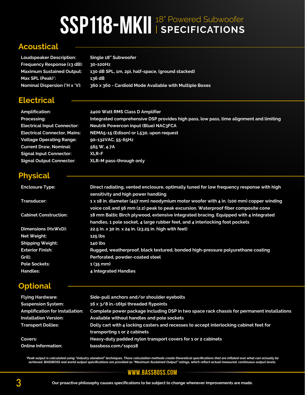### SSP118-MKII <sup>18" Powered Subwoofer</sup>

#### **Acoustical**

**Loudspeaker Description: Single 18" Subwoofer Frequency Response (±3 dB): 30-100Hz Maximum Sustained Output: 130 dB SPL, 1m, 2pi, half-space, (ground stacked) Max SPL (Peak)\*: 136 dB Nominal Dispersion (°H x °V): 360 x 360 - Cardioid Mode Available with Multiple Boxes**

#### **Electrical**

**Amplification: 2400 Watt RMS Class D Amplifier Processing: Integrated comprehensive DSP provides high pass, low pass, time alignment and limiting Electrical Input Connector: Neutrik Powercon input (Blue) NAC3FCA Electrical Connector, Mains: NEMA5-15 (Edison) or L530, upon request Voltage Operating Range: 90-132VAC, 55-65Hz Current Draw, Nominal: 565 W, 4.7A Signal Input Connector: XLR-F Signal Output Connector: XLR-M pass-through only**

#### **Physical**

| <b>Enclosure Type:</b>       | Direct radiating, vented enclosure, optimally tuned for low frequency response with high |
|------------------------------|------------------------------------------------------------------------------------------|
|                              | sensitivity and high power handling                                                      |
| Transducer:                  | 1 x 18 in. diameter (457 mm) neodymium motor woofer with 4 in. (100 mm) copper winding   |
|                              | voice coil and 56 mm (2.2) peak to peak excursion. Waterproof fiber composite cone       |
| <b>Cabinet Construction:</b> | 18 mm Baltic Birch plywood, extensive integrated bracing. Equipped with 4 integrated     |
|                              | handles, 1 pole socket, 4 large rubber feet, and 4 interlocking foot pockets             |
| Dimensions (HxWxD):          | 22.5 in. x 30 in. x 24 in. (23.25 in. high with feet)                                    |
| Net Weight:                  | $125$ lbs                                                                                |
| <b>Shipping Weight:</b>      | <b>140 lbs</b>                                                                           |
| <b>Exterior Finish:</b>      | Rugged, weatherproof, black textured, bonded high-pressure polyurethane coating          |
| Grill:                       | Perforated, powder-coated steel                                                          |
| <b>Pole Sockets:</b>         | $1(35$ mm)                                                                               |
| <b>Handles:</b>              | 4 Integrated Handles                                                                     |

#### **Optional**

| <b>Flying Hardware:</b>                | Side-pull anchors and/or shoulder eyebolts                                                 |
|----------------------------------------|--------------------------------------------------------------------------------------------|
| <b>Suspension System:</b>              | 16 x 3/8 in.-16tpi threaded flypoints                                                      |
| <b>Amplification for Installation:</b> | Complete power package including DSP in two space rack chassis for permanent installations |
| <b>Installation Version:</b>           | Available without handles and pole sockets                                                 |
| <b>Transport Dollies:</b>              | Dolly cart with 4 locking casters and recesses to accept interlocking cabinet feet for     |
|                                        | transporting 1 or 2 cabinets                                                               |
| Covers:                                | Heavy-duty padded nylon transport covers for 1 or 2 cabinets                               |
| <b>Online Information:</b>             | bassboss.com/ssp118                                                                        |

"Peak output is calculated using "industry standard" techniques. These calculation methods create theoretical specifications that are inflated over what can actually be<br>achieved. BASSBOSS real world output specifications a

#### **www.bassboss.com**